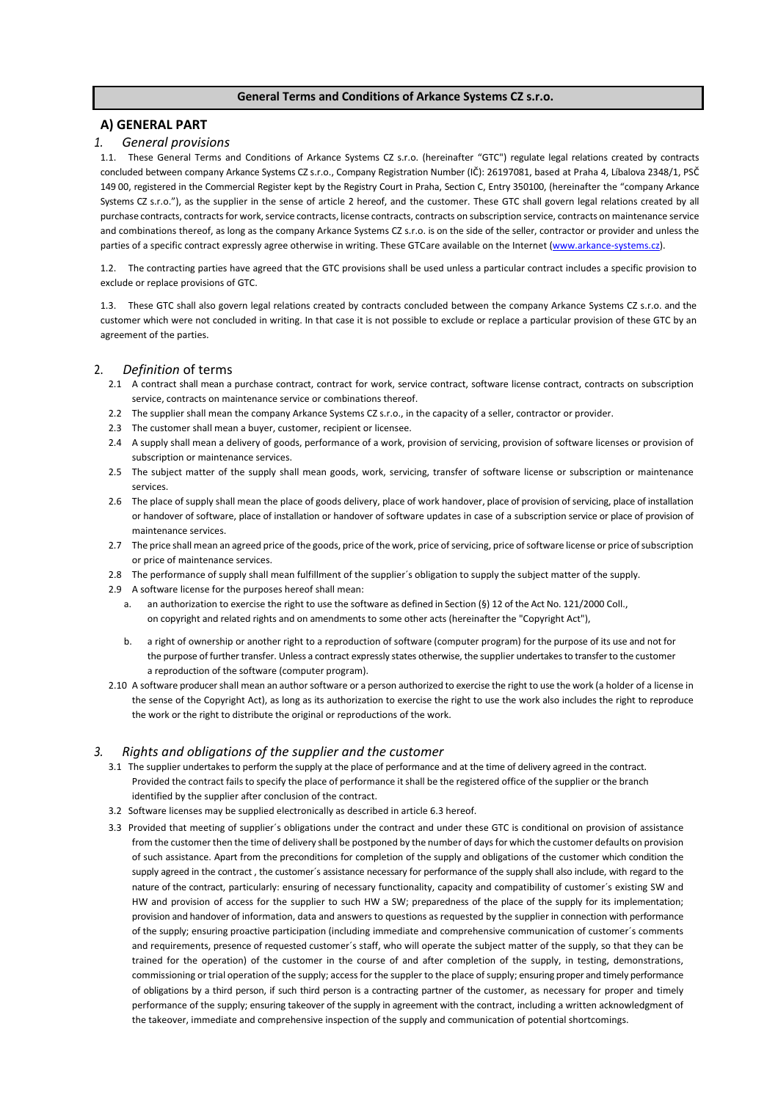### **General Terms and Conditions of Arkance Systems CZ s.r.o.**

### **A) GENERAL PART**

#### *1. General provisions*

1.1. These General Terms and Conditions of Arkance Systems CZ s.r.o. (hereinafter "GTC") regulate legal relations created by contracts concluded between company Arkance Systems CZ s.r.o., Company Registration Number (IČ): 26197081, based at Praha 4, Líbalova 2348/1, PSČ 149 00, registered in the Commercial Register kept by the Registry Court in Praha, Section C, Entry 350100, (hereinafter the "company Arkance Systems CZ s.r.o."), as the supplier in the sense of article 2 hereof, and the customer. These GTC shall govern legal relations created by all purchase contracts, contracts for work, service contracts, license contracts, contracts on subscription service, contracts on maintenance service and combinations thereof, as long as the company Arkance Systems CZ s.r.o. is on the side of the seller, contractor or provider and unless the parties of a specific contract expressly agree otherwise in writing. These GTC are available on the Internet (www.arkance-systems.cz).

1.2. The contracting parties have agreed that the GTC provisions shall be used unless a particular contract includes a specific provision to exclude or replace provisions of GTC.

1.3. These GTC shall also govern legal relations created by contracts concluded between the company Arkance Systems CZ s.r.o. and the customer which were not concluded in writing. In that case it is not possible to exclude or replace a particular provision of these GTC by an agreement of the parties.

#### 2. *Definition* of terms

- 2.1 A contract shall mean a purchase contract, contract for work, service contract, software license contract, contracts on subscription service, contracts on maintenance service or combinations thereof.
- 2.2 The supplier shall mean the company Arkance Systems CZ s.r.o., in the capacity of a seller, contractor or provider.
- 2.3 The customer shall mean a buyer, customer, recipient or licensee.
- 2.4 A supply shall mean a delivery of goods, performance of a work, provision of servicing, provision of software licenses or provision of subscription or maintenance services.
- 2.5 The subject matter of the supply shall mean goods, work, servicing, transfer of software license or subscription or maintenance services.
- 2.6 The place of supply shall mean the place of goods delivery, place of work handover, place of provision of servicing, place of installation or handover of software, place of installation or handover of software updates in case of a subscription service or place of provision of maintenance services.
- 2.7 The price shall mean an agreed price of the goods, price of the work, price of servicing, price of software license or price of subscription or price of maintenance services.
- 2.8 The performance of supply shall mean fulfillment of the supplier´s obligation to supply the subject matter of the supply.
- 2.9 A software license for the purposes hereof shall mean:
	- a. an authorization to exercise the right to use the software as defined in Section (§) 12 of the Act No. 121/2000 Coll., on copyright and related rights and on amendments to some other acts (hereinafter the "Copyright Act"),
	- a right of ownership or another right to a reproduction of software (computer program) for the purpose of its use and not for the purpose of further transfer. Unless a contract expressly states otherwise, the supplier undertakes to transfer to the customer a reproduction of the software (computer program).
- 2.10 A software producer shall mean an author software or a person authorized to exercise the right to use the work (a holder of a license in the sense of the Copyright Act), as long as its authorization to exercise the right to use the work also includes the right to reproduce the work or the right to distribute the original or reproductions of the work.

### *3. Rights and obligations of the supplier and the customer*

- 3.1 The supplier undertakes to perform the supply at the place of performance and at the time of delivery agreed in the contract. Provided the contract fails to specify the place of performance it shall be the registered office of the supplier or the branch identified by the supplier after conclusion of the contract.
- 3.2 Software licenses may be supplied electronically as described in article 6.3 hereof.
- 3.3 Provided that meeting of supplier´s obligations under the contract and under these GTC is conditional on provision of assistance from the customer then the time of delivery shall be postponed by the number of days for which the customer defaults on provision of such assistance. Apart from the preconditions for completion of the supply and obligations of the customer which condition the supply agreed in the contract , the customer´s assistance necessary for performance of the supply shall also include, with regard to the nature of the contract, particularly: ensuring of necessary functionality, capacity and compatibility of customer´s existing SW and HW and provision of access for the supplier to such HW a SW; preparedness of the place of the supply for its implementation; provision and handover of information, data and answers to questions as requested by the supplier in connection with performance of the supply; ensuring proactive participation (including immediate and comprehensive communication of customer´s comments and requirements, presence of requested customer´s staff, who will operate the subject matter of the supply, so that they can be trained for the operation) of the customer in the course of and after completion of the supply, in testing, demonstrations, commissioning or trial operation of the supply; access for the suppler to the place of supply; ensuring proper and timely performance of obligations by a third person, if such third person is a contracting partner of the customer, as necessary for proper and timely performance of the supply; ensuring takeover of the supply in agreement with the contract, including a written acknowledgment of the takeover, immediate and comprehensive inspection of the supply and communication of potential shortcomings.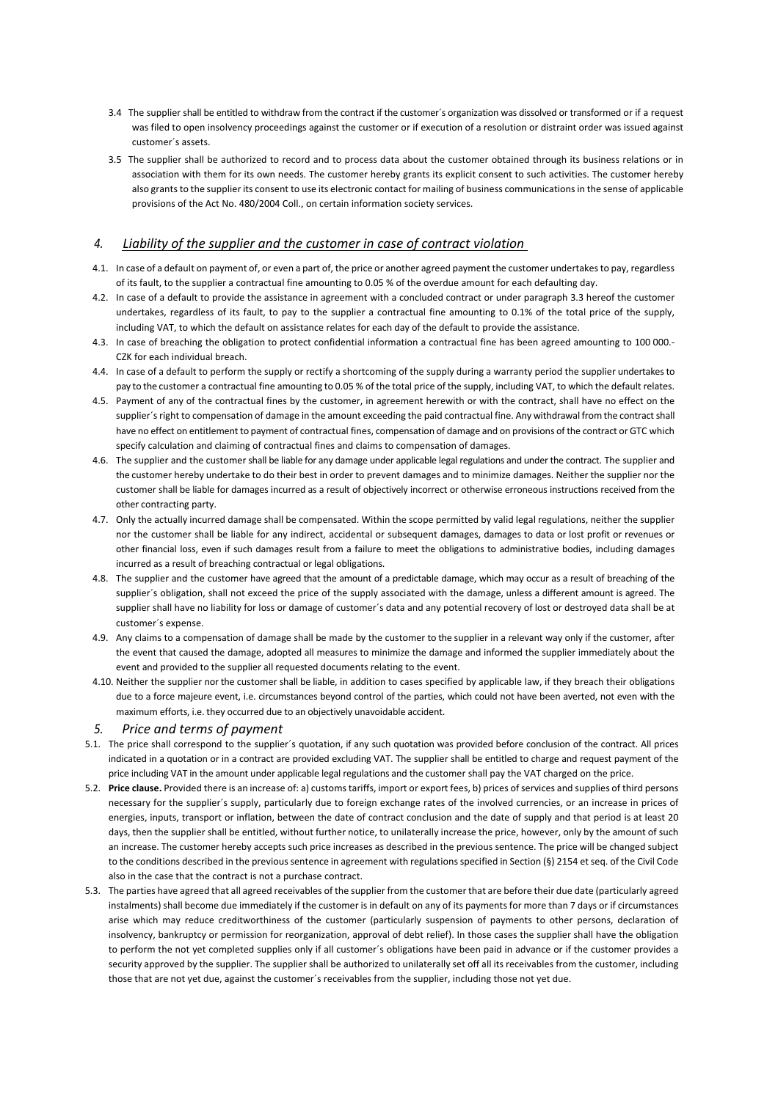- 3.4 The supplier shall be entitled to withdraw from the contract if the customer´s organization was dissolved or transformed or if a request was filed to open insolvency proceedings against the customer or if execution of a resolution or distraint order was issued against customer´s assets.
- 3.5 The supplier shall be authorized to record and to process data about the customer obtained through its business relations or in association with them for its own needs. The customer hereby grants its explicit consent to such activities. The customer hereby also grants to the supplier its consent to use its electronic contact for mailing of business communications in the sense of applicable provisions of the Act No. 480/2004 Coll., on certain information society services.

### *4. Liability of the supplier and the customer in case of contract violation*

- 4.1. In case of a default on payment of, or even a part of, the price or another agreed payment the customer undertakes to pay, regardless of its fault, to the supplier a contractual fine amounting to 0.05 % of the overdue amount for each defaulting day.
- 4.2. In case of a default to provide the assistance in agreement with a concluded contract or under paragraph 3.3 hereof the customer undertakes, regardless of its fault, to pay to the supplier a contractual fine amounting to 0.1% of the total price of the supply, including VAT, to which the default on assistance relates for each day of the default to provide the assistance.
- 4.3. In case of breaching the obligation to protect confidential information a contractual fine has been agreed amounting to 100 000.‐ CZK for each individual breach.
- 4.4. In case of a default to perform the supply or rectify a shortcoming of the supply during a warranty period the supplier undertakes to pay to the customer a contractual fine amounting to 0.05 % of the total price of the supply, including VAT, to which the default relates.
- 4.5. Payment of any of the contractual fines by the customer, in agreement herewith or with the contract, shall have no effect on the supplier´s right to compensation of damage in the amount exceeding the paid contractual fine. Any withdrawal from the contract shall have no effect on entitlement to payment of contractual fines, compensation of damage and on provisions of the contract or GTC which specify calculation and claiming of contractual fines and claims to compensation of damages.
- 4.6. The supplier and the customer shall be liable for any damage under applicable legal regulations and under the contract. The supplier and the customer hereby undertake to do their best in order to prevent damages and to minimize damages. Neither the supplier nor the customer shall be liable for damages incurred as a result of objectively incorrect or otherwise erroneous instructions received from the other contracting party.
- 4.7. Only the actually incurred damage shall be compensated. Within the scope permitted by valid legal regulations, neither the supplier nor the customer shall be liable for any indirect, accidental or subsequent damages, damages to data or lost profit or revenues or other financial loss, even if such damages result from a failure to meet the obligations to administrative bodies, including damages incurred as a result of breaching contractual or legal obligations.
- 4.8. The supplier and the customer have agreed that the amount of a predictable damage, which may occur as a result of breaching of the supplier´s obligation, shall not exceed the price of the supply associated with the damage, unless a different amount is agreed. The supplier shall have no liability for loss or damage of customer´s data and any potential recovery of lost or destroyed data shall be at customer´s expense.
- 4.9. Any claims to a compensation of damage shall be made by the customer to the supplier in a relevant way only if the customer, after the event that caused the damage, adopted all measures to minimize the damage and informed the supplier immediately about the event and provided to the supplier all requested documents relating to the event.
- 4.10. Neither the supplier nor the customer shall be liable, in addition to cases specified by applicable law, if they breach their obligations due to a force majeure event, i.e. circumstances beyond control of the parties, which could not have been averted, not even with the maximum efforts, i.e. they occurred due to an objectively unavoidable accident.

#### *5. Price and terms of payment*

- 5.1. The price shall correspond to the supplier´s quotation, if any such quotation was provided before conclusion of the contract. All prices indicated in a quotation or in a contract are provided excluding VAT. The supplier shall be entitled to charge and request payment of the price including VAT in the amount under applicable legal regulations and the customer shall pay the VAT charged on the price.
- 5.2. **Price clause.** Provided there is an increase of: a) customs tariffs, import or export fees, b) prices of services and supplies of third persons necessary for the supplier´s supply, particularly due to foreign exchange rates of the involved currencies, or an increase in prices of energies, inputs, transport or inflation, between the date of contract conclusion and the date of supply and that period is at least 20 days, then the supplier shall be entitled, without further notice, to unilaterally increase the price, however, only by the amount of such an increase. The customer hereby accepts such price increases as described in the previous sentence. The price will be changed subject to the conditions described in the previous sentence in agreement with regulations specified in Section (§) 2154 et seq. of the Civil Code also in the case that the contract is not a purchase contract.
- 5.3. The parties have agreed that all agreed receivables of the supplier from the customer that are before their due date (particularly agreed instalments) shall become due immediately if the customer is in default on any of its payments for more than 7 days or if circumstances arise which may reduce creditworthiness of the customer (particularly suspension of payments to other persons, declaration of insolvency, bankruptcy or permission for reorganization, approval of debt relief). In those cases the supplier shall have the obligation to perform the not yet completed supplies only if all customer´s obligations have been paid in advance or if the customer provides a security approved by the supplier. The supplier shall be authorized to unilaterally set off all its receivables from the customer, including those that are not yet due, against the customer´s receivables from the supplier, including those not yet due.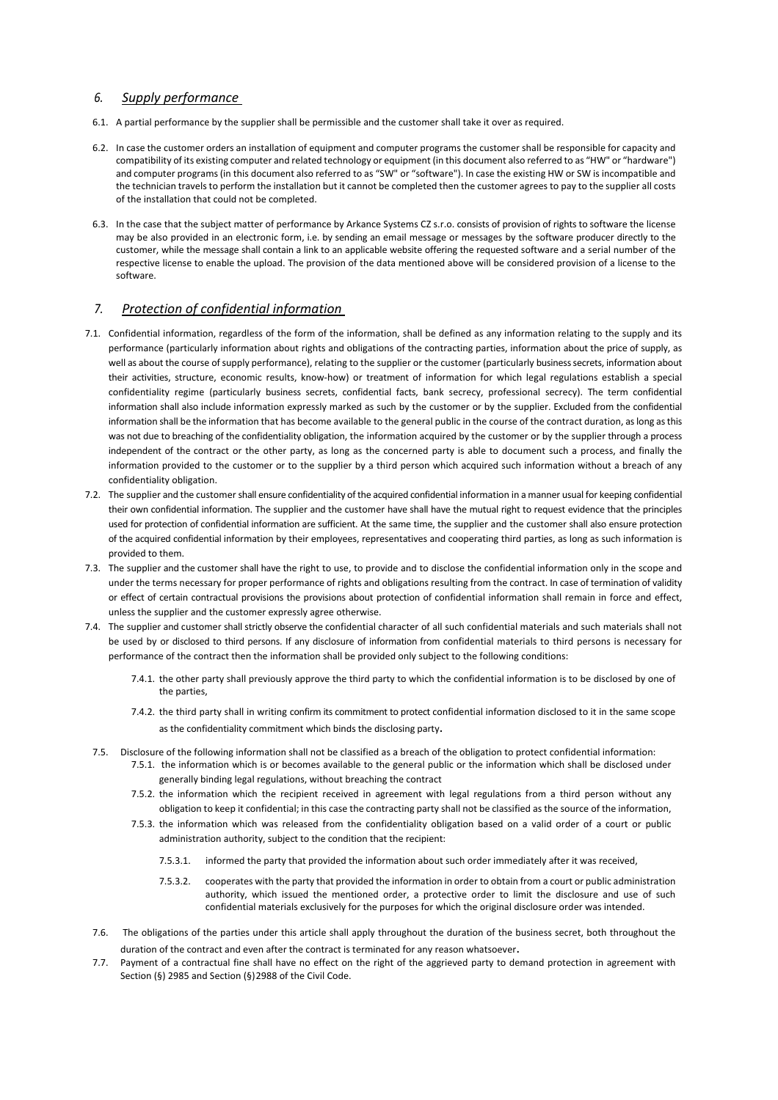#### *6. Supply performance*

- 6.1. A partial performance by the supplier shall be permissible and the customer shall take it over as required.
- 6.2. In case the customer orders an installation of equipment and computer programs the customer shall be responsible for capacity and compatibility of its existing computer and related technology or equipment (in this document also referred to as "HW" or "hardware") and computer programs (in this document also referred to as "SW" or "software"). In case the existing HW or SW is incompatible and the technician travels to perform the installation but it cannot be completed then the customer agrees to pay to the supplier all costs of the installation that could not be completed.
- 6.3. In the case that the subject matter of performance by Arkance Systems CZ s.r.o. consists of provision of rights to software the license may be also provided in an electronic form, i.e. by sending an email message or messages by the software producer directly to the customer, while the message shall contain a link to an applicable website offering the requested software and a serial number of the respective license to enable the upload. The provision of the data mentioned above will be considered provision of a license to the software.

### *7. Protection of confidential information*

- 7.1. Confidential information, regardless of the form of the information, shall be defined as any information relating to the supply and its performance (particularly information about rights and obligations of the contracting parties, information about the price of supply, as well as about the course of supply performance), relating to the supplier or the customer (particularly business secrets, information about their activities, structure, economic results, know‐how) or treatment of information for which legal regulations establish a special confidentiality regime (particularly business secrets, confidential facts, bank secrecy, professional secrecy). The term confidential information shall also include information expressly marked as such by the customer or by the supplier. Excluded from the confidential information shall be the information that has become available to the general public in the course of the contract duration, as long as this was not due to breaching of the confidentiality obligation, the information acquired by the customer or by the supplier through a process independent of the contract or the other party, as long as the concerned party is able to document such a process, and finally the information provided to the customer or to the supplier by a third person which acquired such information without a breach of any confidentiality obligation.
- 7.2. The supplier and the customer shall ensure confidentiality of the acquired confidential information in a manner usual for keeping confidential their own confidential information. The supplier and the customer have shall have the mutual right to request evidence that the principles used for protection of confidential information are sufficient. At the same time, the supplier and the customer shall also ensure protection of the acquired confidential information by their employees, representatives and cooperating third parties, as long as such information is provided to them.
- 7.3. The supplier and the customer shall have the right to use, to provide and to disclose the confidential information only in the scope and under the terms necessary for proper performance of rights and obligations resulting from the contract. In case of termination of validity or effect of certain contractual provisions the provisions about protection of confidential information shall remain in force and effect, unless the supplier and the customer expressly agree otherwise.
- 7.4. The supplier and customer shall strictly observe the confidential character of all such confidential materials and such materials shall not be used by or disclosed to third persons. If any disclosure of information from confidential materials to third persons is necessary for performance of the contract then the information shall be provided only subject to the following conditions:
	- 7.4.1. the other party shall previously approve the third party to which the confidential information is to be disclosed by one of the parties,
	- 7.4.2. the third party shall in writing confirm its commitment to protect confidential information disclosed to it in the same scope as the confidentiality commitment which binds the disclosing party.
- 7.5. Disclosure of the following information shall not be classified as a breach of the obligation to protect confidential information:
	- 7.5.1. the information which is or becomes available to the general public or the information which shall be disclosed under generally binding legal regulations, without breaching the contract
	- 7.5.2. the information which the recipient received in agreement with legal regulations from a third person without any obligation to keep it confidential; in this case the contracting party shall not be classified as the source of the information,
	- 7.5.3. the information which was released from the confidentiality obligation based on a valid order of a court or public administration authority, subject to the condition that the recipient:
		- 7.5.3.1. informed the party that provided the information about such order immediately after it was received,
		- 7.5.3.2. cooperates with the party that provided the information in order to obtain from a court or public administration authority, which issued the mentioned order, a protective order to limit the disclosure and use of such confidential materials exclusively for the purposes for which the original disclosure order was intended.
- 7.6. The obligations of the parties under this article shall apply throughout the duration of the business secret, both throughout the duration of the contract and even after the contract is terminated for any reason whatsoever.
- 7.7. Payment of a contractual fine shall have no effect on the right of the aggrieved party to demand protection in agreement with Section (§) 2985 and Section (§) 2988 of the Civil Code.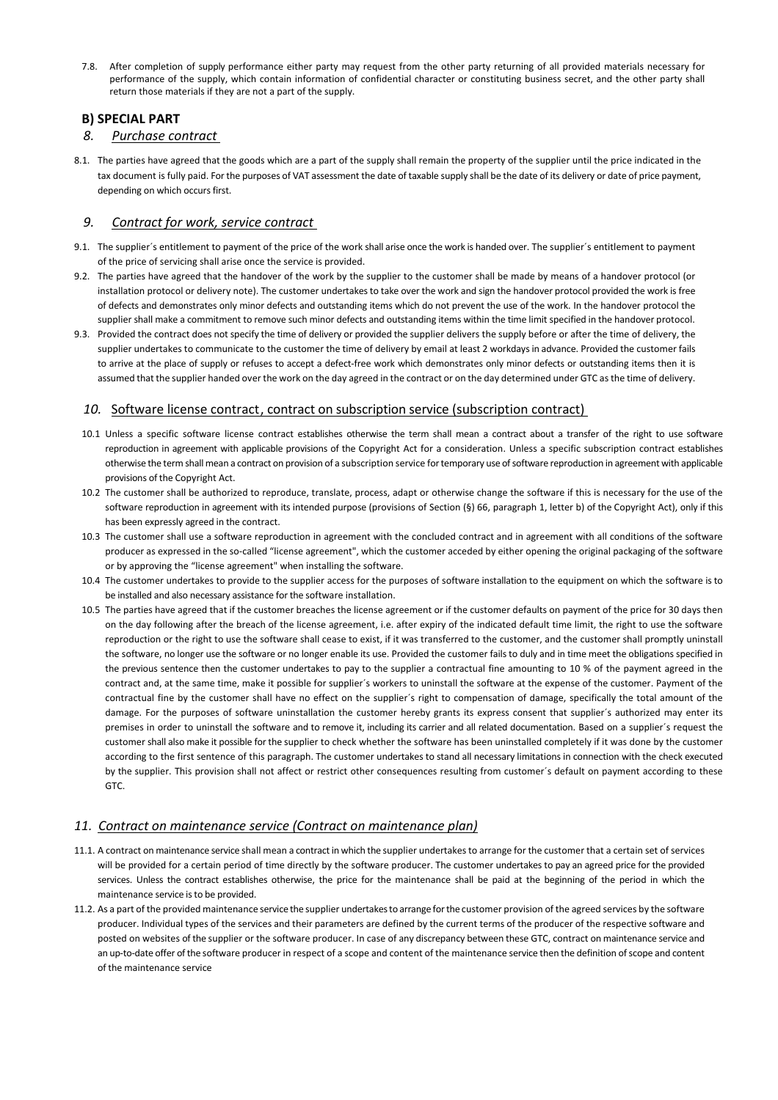7.8. After completion of supply performance either party may request from the other party returning of all provided materials necessary for performance of the supply, which contain information of confidential character or constituting business secret, and the other party shall return those materials if they are not a part of the supply.

### **B) SPECIAL PART**

#### *8. Purchase contract*

8.1. The parties have agreed that the goods which are a part of the supply shall remain the property of the supplier until the price indicated in the tax document is fully paid. For the purposes of VAT assessment the date of taxable supply shall be the date of its delivery or date of price payment, depending on which occurs first.

### *9. Contract for work, service contract*

- 9.1. The supplier´s entitlement to payment of the price of the work shall arise once the work is handed over. The supplier´s entitlement to payment of the price of servicing shall arise once the service is provided.
- 9.2. The parties have agreed that the handover of the work by the supplier to the customer shall be made by means of a handover protocol (or installation protocol or delivery note). The customer undertakes to take over the work and sign the handover protocol provided the work is free of defects and demonstrates only minor defects and outstanding items which do not prevent the use of the work. In the handover protocol the supplier shall make a commitment to remove such minor defects and outstanding items within the time limit specified in the handover protocol.
- 9.3. Provided the contract does not specify the time of delivery or provided the supplier delivers the supply before or after the time of delivery, the supplier undertakes to communicate to the customer the time of delivery by email at least 2 workdays in advance. Provided the customer fails to arrive at the place of supply or refuses to accept a defect-free work which demonstrates only minor defects or outstanding items then it is assumed that the supplier handed over the work on the day agreed in the contract or on the day determined under GTC as the time of delivery.

## 10. Software license contract, contract on subscription service (subscription contract)

- 10.1 Unless a specific software license contract establishes otherwise the term shall mean a contract about a transfer of the right to use software reproduction in agreement with applicable provisions of the Copyright Act for a consideration. Unless a specific subscription contract establishes otherwise the term shall mean a contract on provision of a subscription service for temporary use of software reproduction in agreement with applicable provisions of the Copyright Act.
- 10.2 The customer shall be authorized to reproduce, translate, process, adapt or otherwise change the software if this is necessary for the use of the software reproduction in agreement with its intended purpose (provisions of Section (§) 66, paragraph 1, letter b) of the Copyright Act), only if this has been expressly agreed in the contract.
- 10.3 The customer shall use a software reproduction in agreement with the concluded contract and in agreement with all conditions of the software producer as expressed in the so-called "license agreement", which the customer acceded by either opening the original packaging of the software or by approving the "license agreement" when installing the software.
- 10.4 The customer undertakes to provide to the supplier access for the purposes of software installation to the equipment on which the software is to be installed and also necessary assistance for the software installation.
- 10.5 The parties have agreed that if the customer breaches the license agreement or if the customer defaults on payment of the price for 30 days then on the day following after the breach of the license agreement, i.e. after expiry of the indicated default time limit, the right to use the software reproduction or the right to use the software shall cease to exist, if it was transferred to the customer, and the customer shall promptly uninstall the software, no longer use the software or no longer enable its use. Provided the customer fails to duly and in time meet the obligations specified in the previous sentence then the customer undertakes to pay to the supplier a contractual fine amounting to 10 % of the payment agreed in the contract and, at the same time, make it possible for supplier´s workers to uninstall the software at the expense of the customer. Payment of the contractual fine by the customer shall have no effect on the supplier´s right to compensation of damage, specifically the total amount of the damage. For the purposes of software uninstallation the customer hereby grants its express consent that supplier's authorized may enter its premises in order to uninstall the software and to remove it, including its carrier and all related documentation. Based on a supplier´s request the customer shall also make it possible for the supplier to check whether the software has been uninstalled completely if it was done by the customer according to the first sentence of this paragraph. The customer undertakes to stand all necessary limitations in connection with the check executed by the supplier. This provision shall not affect or restrict other consequences resulting from customer´s default on payment according to these GTC.

### *11. Contract on maintenance service (Contract on maintenance plan)*

- 11.1. A contract on maintenance service shall mean a contract in which the supplier undertakes to arrange for the customer that a certain set of services will be provided for a certain period of time directly by the software producer. The customer undertakes to pay an agreed price for the provided services. Unless the contract establishes otherwise, the price for the maintenance shall be paid at the beginning of the period in which the maintenance service is to be provided.
- 11.2. As a part of the provided maintenance service the supplier undertakes to arrange for the customer provision of the agreed services by the software producer. Individual types of the services and their parameters are defined by the current terms of the producer of the respective software and posted on websites of the supplier or the software producer. In case of any discrepancy between these GTC, contract on maintenance service and an up-to-date offer of the software producer in respect of a scope and content of the maintenance service then the definition of scope and content of the maintenance service